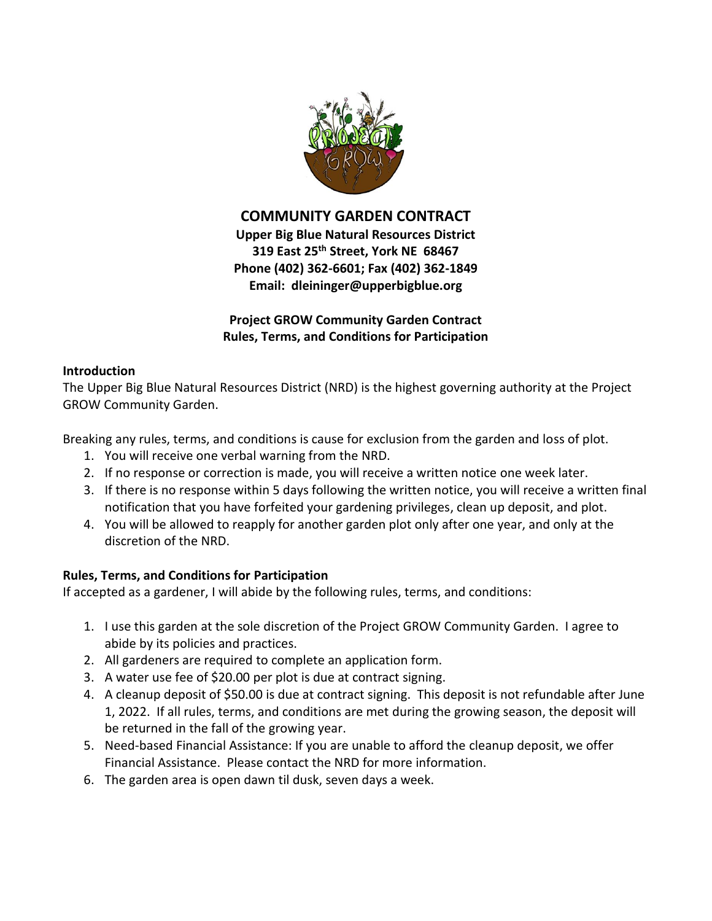

**COMMUNITY GARDEN CONTRACT**

**Upper Big Blue Natural Resources District 319 East 25th Street, York NE 68467 Phone (402) 362-6601; Fax (402) 362-1849 Email: dleininger@upperbigblue.org**

**Project GROW Community Garden Contract Rules, Terms, and Conditions for Participation**

## **Introduction**

The Upper Big Blue Natural Resources District (NRD) is the highest governing authority at the Project GROW Community Garden.

Breaking any rules, terms, and conditions is cause for exclusion from the garden and loss of plot.

- 1. You will receive one verbal warning from the NRD.
- 2. If no response or correction is made, you will receive a written notice one week later.
- 3. If there is no response within 5 days following the written notice, you will receive a written final notification that you have forfeited your gardening privileges, clean up deposit, and plot.
- 4. You will be allowed to reapply for another garden plot only after one year, and only at the discretion of the NRD.

## **Rules, Terms, and Conditions for Participation**

If accepted as a gardener, I will abide by the following rules, terms, and conditions:

- 1. I use this garden at the sole discretion of the Project GROW Community Garden. I agree to abide by its policies and practices.
- 2. All gardeners are required to complete an application form.
- 3. A water use fee of \$20.00 per plot is due at contract signing.
- 4. A cleanup deposit of \$50.00 is due at contract signing. This deposit is not refundable after June 1, 2022. If all rules, terms, and conditions are met during the growing season, the deposit will be returned in the fall of the growing year.
- 5. Need-based Financial Assistance: If you are unable to afford the cleanup deposit, we offer Financial Assistance. Please contact the NRD for more information.
- 6. The garden area is open dawn til dusk, seven days a week.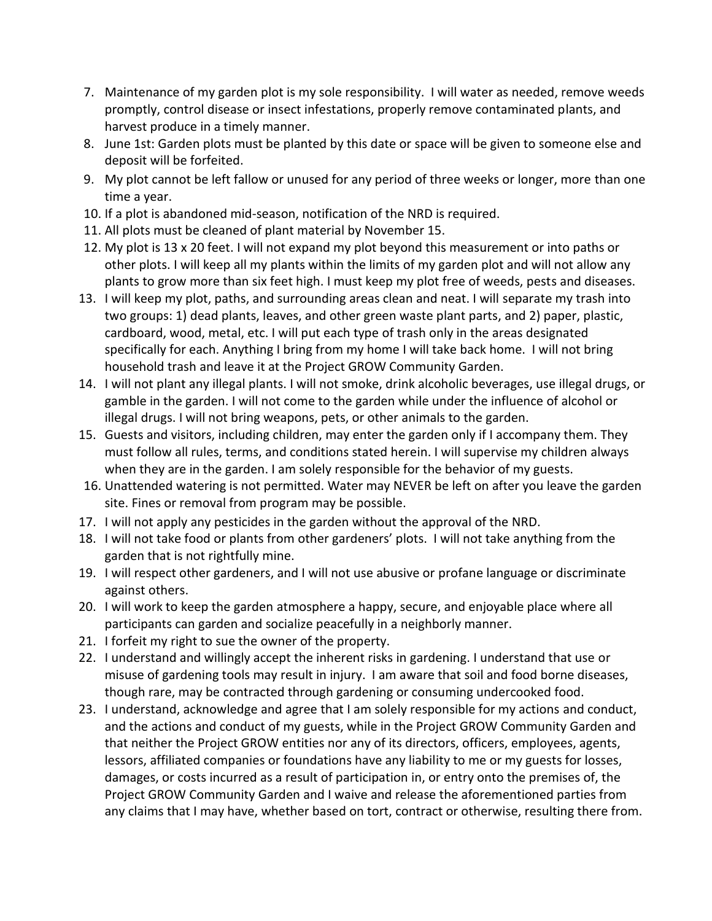- 7. Maintenance of my garden plot is my sole responsibility. I will water as needed, remove weeds promptly, control disease or insect infestations, properly remove contaminated plants, and harvest produce in a timely manner.
- 8. June 1st: Garden plots must be planted by this date or space will be given to someone else and deposit will be forfeited.
- 9. My plot cannot be left fallow or unused for any period of three weeks or longer, more than one time a year.
- 10. If a plot is abandoned mid-season, notification of the NRD is required.
- 11. All plots must be cleaned of plant material by November 15.
- 12. My plot is 13 x 20 feet. I will not expand my plot beyond this measurement or into paths or other plots. I will keep all my plants within the limits of my garden plot and will not allow any plants to grow more than six feet high. I must keep my plot free of weeds, pests and diseases.
- 13. I will keep my plot, paths, and surrounding areas clean and neat. I will separate my trash into two groups: 1) dead plants, leaves, and other green waste plant parts, and 2) paper, plastic, cardboard, wood, metal, etc. I will put each type of trash only in the areas designated specifically for each. Anything I bring from my home I will take back home. I will not bring household trash and leave it at the Project GROW Community Garden.
- 14. I will not plant any illegal plants. I will not smoke, drink alcoholic beverages, use illegal drugs, or gamble in the garden. I will not come to the garden while under the influence of alcohol or illegal drugs. I will not bring weapons, pets, or other animals to the garden.
- 15. Guests and visitors, including children, may enter the garden only if I accompany them. They must follow all rules, terms, and conditions stated herein. I will supervise my children always when they are in the garden. I am solely responsible for the behavior of my guests.
- 16. Unattended watering is not permitted. Water may NEVER be left on after you leave the garden site. Fines or removal from program may be possible.
- 17. I will not apply any pesticides in the garden without the approval of the NRD.
- 18. I will not take food or plants from other gardeners' plots. I will not take anything from the garden that is not rightfully mine.
- 19. I will respect other gardeners, and I will not use abusive or profane language or discriminate against others.
- 20. I will work to keep the garden atmosphere a happy, secure, and enjoyable place where all participants can garden and socialize peacefully in a neighborly manner.
- 21. I forfeit my right to sue the owner of the property.
- 22. I understand and willingly accept the inherent risks in gardening. I understand that use or misuse of gardening tools may result in injury. I am aware that soil and food borne diseases, though rare, may be contracted through gardening or consuming undercooked food.
- 23. I understand, acknowledge and agree that I am solely responsible for my actions and conduct, and the actions and conduct of my guests, while in the Project GROW Community Garden and that neither the Project GROW entities nor any of its directors, officers, employees, agents, lessors, affiliated companies or foundations have any liability to me or my guests for losses, damages, or costs incurred as a result of participation in, or entry onto the premises of, the Project GROW Community Garden and I waive and release the aforementioned parties from any claims that I may have, whether based on tort, contract or otherwise, resulting there from.